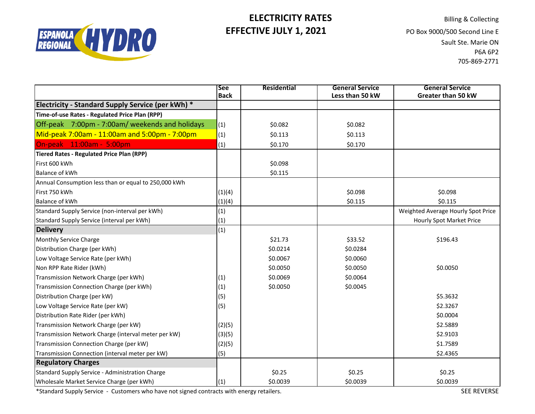

## **ELECTRICITY RATES** Billing & Collecting **EFFECTIVE JULY 1, 2021** PO Box 9000/500 Second Line E

Sault Ste. Marie ON P6A 6P2 705-869-2771

|                                                      | <b>See</b><br><b>Back</b> | Residential | <b>General Service</b><br>Less than 50 kW | <b>General Service</b><br>Greater than 50 kW |
|------------------------------------------------------|---------------------------|-------------|-------------------------------------------|----------------------------------------------|
| Electricity - Standard Supply Service (per kWh) *    |                           |             |                                           |                                              |
| Time-of-use Rates - Regulated Price Plan (RPP)       |                           |             |                                           |                                              |
| Off-peak 7:00pm - 7:00am/ weekends and holidays      | (1)                       | \$0.082     | \$0.082                                   |                                              |
| Mid-peak 7:00am - 11:00am and 5:00pm - 7:00pm        | (1)                       | \$0.113     | \$0.113                                   |                                              |
| On-peak 11:00am - 5:00pm                             | (1)                       | \$0.170     | \$0.170                                   |                                              |
| <b>Tiered Rates - Regulated Price Plan (RPP)</b>     |                           |             |                                           |                                              |
| First 600 kWh                                        |                           | \$0.098     |                                           |                                              |
| <b>Balance of kWh</b>                                |                           | \$0.115     |                                           |                                              |
| Annual Consumption less than or equal to 250,000 kWh |                           |             |                                           |                                              |
| First 750 kWh                                        | (1)(4)                    |             | \$0.098                                   | \$0.098                                      |
| <b>Balance of kWh</b>                                | (1)(4)                    |             | \$0.115                                   | \$0.115                                      |
| Standard Supply Service (non-interval per kWh)       | (1)                       |             |                                           | Weighted Average Hourly Spot Price           |
| Standard Supply Service (interval per kWh)           | (1)                       |             |                                           | <b>Hourly Spot Market Price</b>              |
| <b>Delivery</b>                                      | (1)                       |             |                                           |                                              |
| Monthly Service Charge                               |                           | \$21.73     | \$33.52                                   | \$196.43                                     |
| Distribution Charge (per kWh)                        |                           | \$0.0214    | \$0.0284                                  |                                              |
| Low Voltage Service Rate (per kWh)                   |                           | \$0.0067    | \$0.0060                                  |                                              |
| Non RPP Rate Rider (kWh)                             |                           | \$0.0050    | \$0.0050                                  | \$0.0050                                     |
| Transmission Network Charge (per kWh)                | (1)                       | \$0.0069    | \$0.0064                                  |                                              |
| Transmission Connection Charge (per kWh)             | (1)                       | \$0.0050    | \$0.0045                                  |                                              |
| Distribution Charge (per kW)                         | (5)                       |             |                                           | \$5.3632                                     |
| Low Voltage Service Rate (per kW)                    | (5)                       |             |                                           | \$2.3267                                     |
| Distribution Rate Rider (per kWh)                    |                           |             |                                           | \$0.0004                                     |
| Transmission Network Charge (per kW)                 | (2)(5)                    |             |                                           | \$2.5889                                     |
| Transmission Network Charge (interval meter per kW)  | (3)(5)                    |             |                                           | \$2.9103                                     |
| Transmission Connection Charge (per kW)              | (2)(5)                    |             |                                           | \$1.7589                                     |
| Transmission Connection (interval meter per kW)      | (5)                       |             |                                           | \$2.4365                                     |
| <b>Regulatory Charges</b>                            |                           |             |                                           |                                              |
| Standard Supply Service - Administration Charge      |                           | \$0.25      | \$0.25                                    | \$0.25                                       |
| Wholesale Market Service Charge (per kWh)            | (1)                       | \$0.0039    | \$0.0039                                  | \$0.0039                                     |

\*Standard Supply Service - Customers who have not signed contracts with energy retailers.